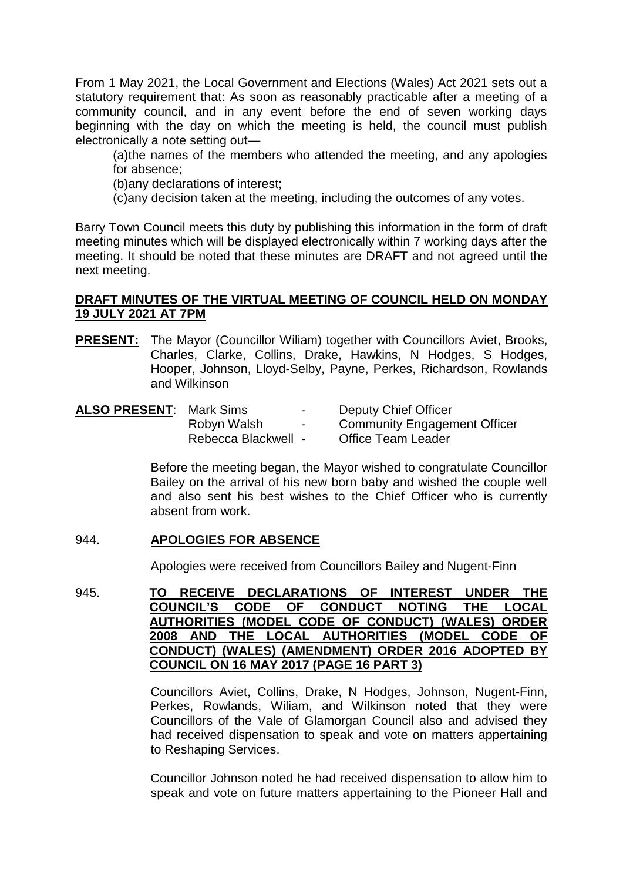From 1 May 2021, the Local Government and Elections (Wales) Act 2021 sets out a statutory requirement that: As soon as reasonably practicable after a meeting of a community council, and in any event before the end of seven working days beginning with the day on which the meeting is held, the council must publish electronically a note setting out—

(a)the names of the members who attended the meeting, and any apologies for absence;

(b)any declarations of interest;

(c)any decision taken at the meeting, including the outcomes of any votes.

Barry Town Council meets this duty by publishing this information in the form of draft meeting minutes which will be displayed electronically within 7 working days after the meeting. It should be noted that these minutes are DRAFT and not agreed until the next meeting.

# **DRAFT MINUTES OF THE VIRTUAL MEETING OF COUNCIL HELD ON MONDAY 19 JULY 2021 AT 7PM**

**PRESENT:** The Mayor (Councillor Wiliam) together with Councillors Aviet, Brooks, Charles, Clarke, Collins, Drake, Hawkins, N Hodges, S Hodges, Hooper, Johnson, Lloyd-Selby, Payne, Perkes, Richardson, Rowlands and Wilkinson

| <b>ALSO PRESENT: Mark Sims</b> |                     | $\sim$                   | Deputy Chief Officer                |
|--------------------------------|---------------------|--------------------------|-------------------------------------|
|                                | Robyn Walsh         | $\overline{\phantom{a}}$ | <b>Community Engagement Officer</b> |
|                                | Rebecca Blackwell - |                          | <b>Office Team Leader</b>           |

Before the meeting began, the Mayor wished to congratulate Councillor Bailey on the arrival of his new born baby and wished the couple well and also sent his best wishes to the Chief Officer who is currently absent from work.

# 944. **APOLOGIES FOR ABSENCE**

Apologies were received from Councillors Bailey and Nugent-Finn

945. **TO RECEIVE DECLARATIONS OF INTEREST UNDER THE COUNCIL'S CODE OF CONDUCT NOTING THE LOCAL AUTHORITIES (MODEL CODE OF CONDUCT) (WALES) ORDER 2008 AND THE LOCAL AUTHORITIES (MODEL CODE OF CONDUCT) (WALES) (AMENDMENT) ORDER 2016 ADOPTED BY COUNCIL ON 16 MAY 2017 (PAGE 16 PART 3)**

> Councillors Aviet, Collins, Drake, N Hodges, Johnson, Nugent-Finn, Perkes, Rowlands, Wiliam, and Wilkinson noted that they were Councillors of the Vale of Glamorgan Council also and advised they had received dispensation to speak and vote on matters appertaining to Reshaping Services.

> Councillor Johnson noted he had received dispensation to allow him to speak and vote on future matters appertaining to the Pioneer Hall and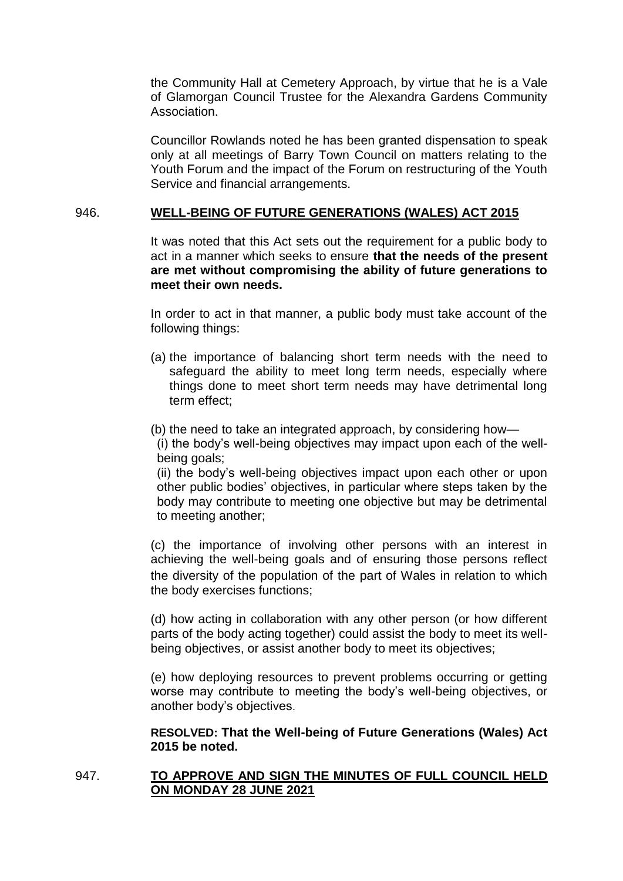the Community Hall at Cemetery Approach, by virtue that he is a Vale of Glamorgan Council Trustee for the Alexandra Gardens Community Association.

Councillor Rowlands noted he has been granted dispensation to speak only at all meetings of Barry Town Council on matters relating to the Youth Forum and the impact of the Forum on restructuring of the Youth Service and financial arrangements.

## 946. **WELL-BEING OF FUTURE GENERATIONS (WALES) ACT 2015**

It was noted that this Act sets out the requirement for a public body to act in a manner which seeks to ensure **that the needs of the present are met without compromising the ability of future generations to meet their own needs.**

In order to act in that manner, a public body must take account of the following things:

- (a) the importance of balancing short term needs with the need to safeguard the ability to meet long term needs, especially where things done to meet short term needs may have detrimental long term effect;
- (b) the need to take an integrated approach, by considering how—

(i) the body's well-being objectives may impact upon each of the wellbeing goals;

(ii) the body's well-being objectives impact upon each other or upon other public bodies' objectives, in particular where steps taken by the body may contribute to meeting one objective but may be detrimental to meeting another;

(c) the importance of involving other persons with an interest in achieving the well-being goals and of ensuring those persons reflect the diversity of the population of the part of Wales in relation to which the body exercises functions;

(d) how acting in collaboration with any other person (or how different parts of the body acting together) could assist the body to meet its wellbeing objectives, or assist another body to meet its objectives;

(e) how deploying resources to prevent problems occurring or getting worse may contribute to meeting the body's well-being objectives, or another body's objectives.

**RESOLVED: That the Well-being of Future Generations (Wales) Act 2015 be noted.**

# 947. **TO APPROVE AND SIGN THE MINUTES OF FULL COUNCIL HELD ON MONDAY 28 JUNE 2021**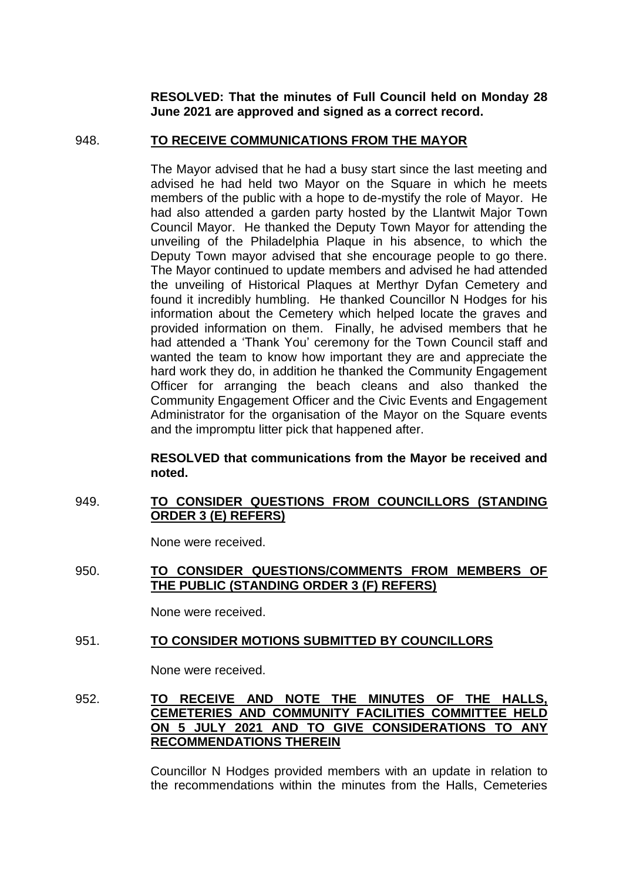**RESOLVED: That the minutes of Full Council held on Monday 28 June 2021 are approved and signed as a correct record.** 

### 948. **TO RECEIVE COMMUNICATIONS FROM THE MAYOR**

The Mayor advised that he had a busy start since the last meeting and advised he had held two Mayor on the Square in which he meets members of the public with a hope to de-mystify the role of Mayor. He had also attended a garden party hosted by the Llantwit Major Town Council Mayor. He thanked the Deputy Town Mayor for attending the unveiling of the Philadelphia Plaque in his absence, to which the Deputy Town mayor advised that she encourage people to go there. The Mayor continued to update members and advised he had attended the unveiling of Historical Plaques at Merthyr Dyfan Cemetery and found it incredibly humbling. He thanked Councillor N Hodges for his information about the Cemetery which helped locate the graves and provided information on them. Finally, he advised members that he had attended a 'Thank You' ceremony for the Town Council staff and wanted the team to know how important they are and appreciate the hard work they do, in addition he thanked the Community Engagement Officer for arranging the beach cleans and also thanked the Community Engagement Officer and the Civic Events and Engagement Administrator for the organisation of the Mayor on the Square events and the impromptu litter pick that happened after.

### **RESOLVED that communications from the Mayor be received and noted.**

## 949. **TO CONSIDER QUESTIONS FROM COUNCILLORS (STANDING ORDER 3 (E) REFERS)**

None were received.

## 950. **TO CONSIDER QUESTIONS/COMMENTS FROM MEMBERS OF THE PUBLIC (STANDING ORDER 3 (F) REFERS)**

None were received.

# 951. **TO CONSIDER MOTIONS SUBMITTED BY COUNCILLORS**

None were received.

952. **TO RECEIVE AND NOTE THE MINUTES OF THE HALLS, CEMETERIES AND COMMUNITY FACILITIES COMMITTEE HELD ON 5 JULY 2021 AND TO GIVE CONSIDERATIONS TO ANY RECOMMENDATIONS THEREIN**

> Councillor N Hodges provided members with an update in relation to the recommendations within the minutes from the Halls, Cemeteries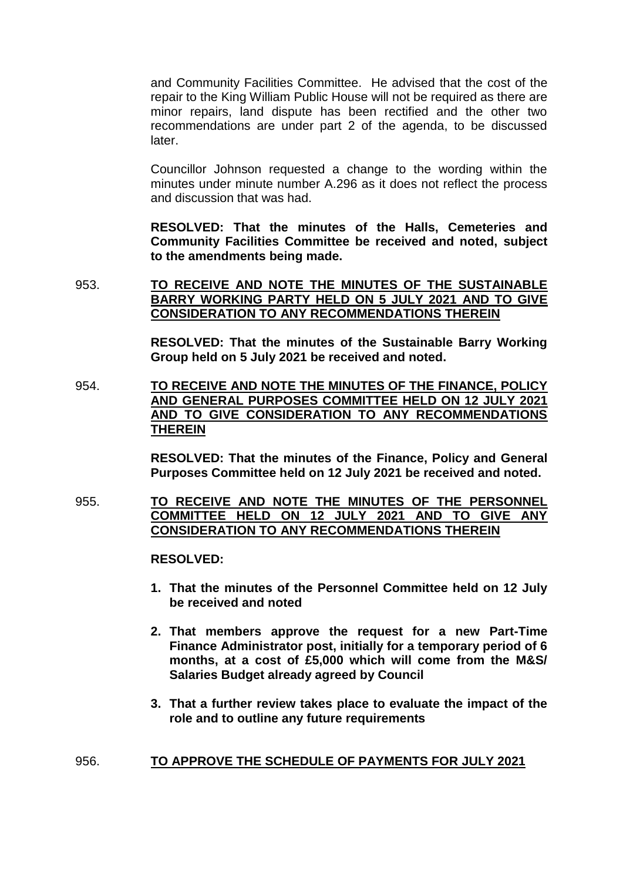and Community Facilities Committee. He advised that the cost of the repair to the King William Public House will not be required as there are minor repairs, land dispute has been rectified and the other two recommendations are under part 2 of the agenda, to be discussed later.

Councillor Johnson requested a change to the wording within the minutes under minute number A.296 as it does not reflect the process and discussion that was had.

**RESOLVED: That the minutes of the Halls, Cemeteries and Community Facilities Committee be received and noted, subject to the amendments being made.** 

953. **TO RECEIVE AND NOTE THE MINUTES OF THE SUSTAINABLE BARRY WORKING PARTY HELD ON 5 JULY 2021 AND TO GIVE CONSIDERATION TO ANY RECOMMENDATIONS THEREIN**

> **RESOLVED: That the minutes of the Sustainable Barry Working Group held on 5 July 2021 be received and noted.**

954. **TO RECEIVE AND NOTE THE MINUTES OF THE FINANCE, POLICY AND GENERAL PURPOSES COMMITTEE HELD ON 12 JULY 2021 AND TO GIVE CONSIDERATION TO ANY RECOMMENDATIONS THEREIN**

> **RESOLVED: That the minutes of the Finance, Policy and General Purposes Committee held on 12 July 2021 be received and noted.**

955. **TO RECEIVE AND NOTE THE MINUTES OF THE PERSONNEL COMMITTEE HELD ON 12 JULY 2021 AND TO GIVE ANY CONSIDERATION TO ANY RECOMMENDATIONS THEREIN** 

**RESOLVED:** 

- **1. That the minutes of the Personnel Committee held on 12 July be received and noted**
- **2. That members approve the request for a new Part-Time Finance Administrator post, initially for a temporary period of 6 months, at a cost of £5,000 which will come from the M&S/ Salaries Budget already agreed by Council**
- **3. That a further review takes place to evaluate the impact of the role and to outline any future requirements**

# 956. **TO APPROVE THE SCHEDULE OF PAYMENTS FOR JULY 2021**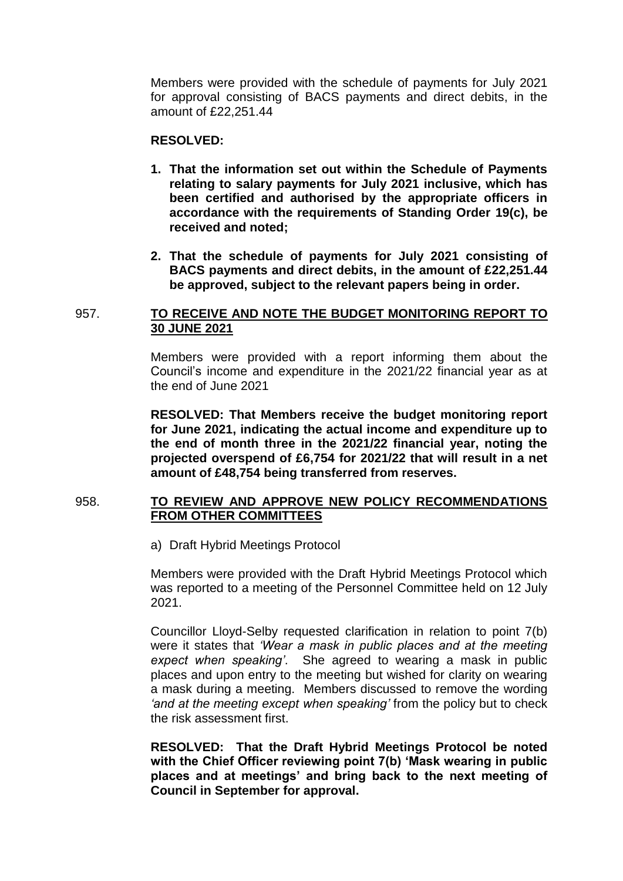Members were provided with the schedule of payments for July 2021 for approval consisting of BACS payments and direct debits, in the amount of £22,251.44

#### **RESOLVED:**

- **1. That the information set out within the Schedule of Payments relating to salary payments for July 2021 inclusive, which has been certified and authorised by the appropriate officers in accordance with the requirements of Standing Order 19(c), be received and noted;**
- **2. That the schedule of payments for July 2021 consisting of BACS payments and direct debits, in the amount of £22,251.44 be approved, subject to the relevant papers being in order.**

## 957. **TO RECEIVE AND NOTE THE BUDGET MONITORING REPORT TO 30 JUNE 2021**

Members were provided with a report informing them about the Council's income and expenditure in the 2021/22 financial year as at the end of June 2021

**RESOLVED: That Members receive the budget monitoring report for June 2021, indicating the actual income and expenditure up to the end of month three in the 2021/22 financial year, noting the projected overspend of £6,754 for 2021/22 that will result in a net amount of £48,754 being transferred from reserves.** 

# 958. **TO REVIEW AND APPROVE NEW POLICY RECOMMENDATIONS FROM OTHER COMMITTEES**

a) Draft Hybrid Meetings Protocol

Members were provided with the Draft Hybrid Meetings Protocol which was reported to a meeting of the Personnel Committee held on 12 July 2021.

Councillor Lloyd-Selby requested clarification in relation to point 7(b) were it states that *'Wear a mask in public places and at the meeting expect when speaking'*. She agreed to wearing a mask in public places and upon entry to the meeting but wished for clarity on wearing a mask during a meeting. Members discussed to remove the wording *'and at the meeting except when speaking'* from the policy but to check the risk assessment first.

**RESOLVED: That the Draft Hybrid Meetings Protocol be noted with the Chief Officer reviewing point 7(b) 'Mask wearing in public places and at meetings' and bring back to the next meeting of Council in September for approval.**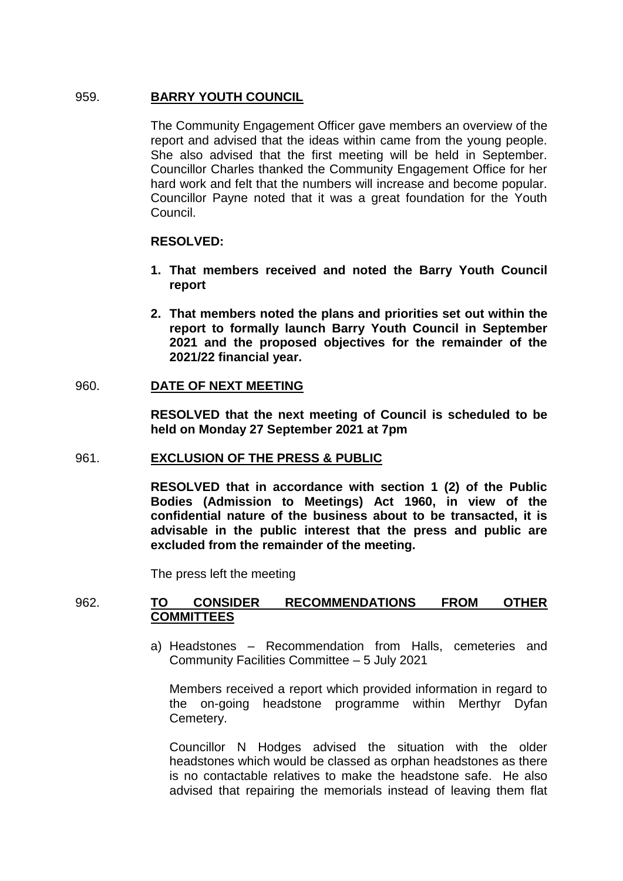# 959. **BARRY YOUTH COUNCIL**

The Community Engagement Officer gave members an overview of the report and advised that the ideas within came from the young people. She also advised that the first meeting will be held in September. Councillor Charles thanked the Community Engagement Office for her hard work and felt that the numbers will increase and become popular. Councillor Payne noted that it was a great foundation for the Youth Council.

## **RESOLVED:**

- **1. That members received and noted the Barry Youth Council report**
- **2. That members noted the plans and priorities set out within the report to formally launch Barry Youth Council in September 2021 and the proposed objectives for the remainder of the 2021/22 financial year.**

### 960. **DATE OF NEXT MEETING**

**RESOLVED that the next meeting of Council is scheduled to be held on Monday 27 September 2021 at 7pm** 

### 961. **EXCLUSION OF THE PRESS & PUBLIC**

**RESOLVED that in accordance with section 1 (2) of the Public Bodies (Admission to Meetings) Act 1960, in view of the confidential nature of the business about to be transacted, it is advisable in the public interest that the press and public are excluded from the remainder of the meeting.**

The press left the meeting

## 962. **TO CONSIDER RECOMMENDATIONS FROM OTHER COMMITTEES**

a) Headstones – Recommendation from Halls, cemeteries and Community Facilities Committee – 5 July 2021

Members received a report which provided information in regard to the on-going headstone programme within Merthyr Dyfan Cemetery.

Councillor N Hodges advised the situation with the older headstones which would be classed as orphan headstones as there is no contactable relatives to make the headstone safe. He also advised that repairing the memorials instead of leaving them flat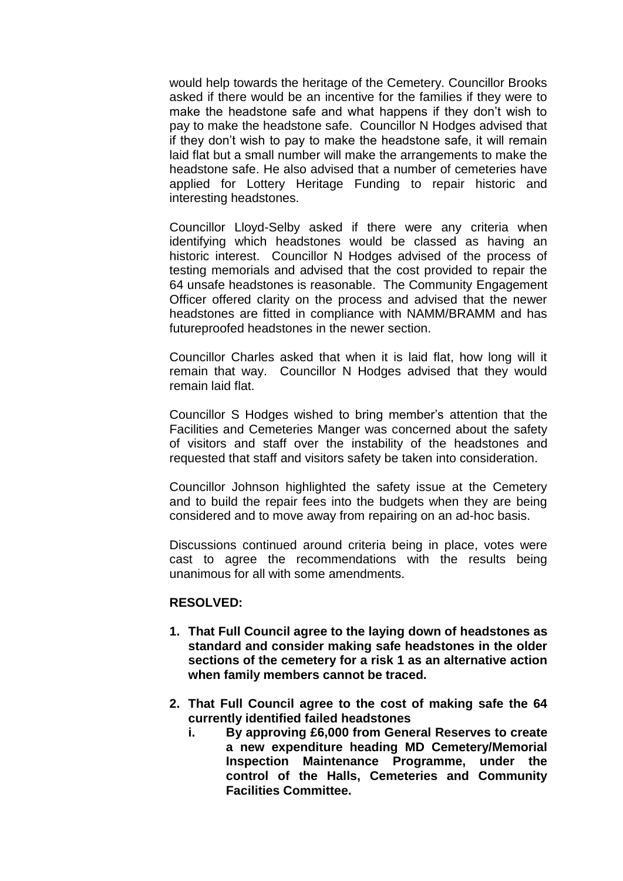would help towards the heritage of the Cemetery. Councillor Brooks asked if there would be an incentive for the families if they were to make the headstone safe and what happens if they don't wish to pay to make the headstone safe. Councillor N Hodges advised that if they don't wish to pay to make the headstone safe, it will remain laid flat but a small number will make the arrangements to make the headstone safe. He also advised that a number of cemeteries have applied for Lottery Heritage Funding to repair historic and interesting headstones.

Councillor Lloyd-Selby asked if there were any criteria when identifying which headstones would be classed as having an historic interest. Councillor N Hodges advised of the process of testing memorials and advised that the cost provided to repair the 64 unsafe headstones is reasonable. The Community Engagement Officer offered clarity on the process and advised that the newer headstones are fitted in compliance with NAMM/BRAMM and has futureproofed headstones in the newer section.

Councillor Charles asked that when it is laid flat, how long will it remain that way. Councillor N Hodges advised that they would remain laid flat.

Councillor S Hodges wished to bring member's attention that the Facilities and Cemeteries Manger was concerned about the safety of visitors and staff over the instability of the headstones and requested that staff and visitors safety be taken into consideration.

Councillor Johnson highlighted the safety issue at the Cemetery and to build the repair fees into the budgets when they are being considered and to move away from repairing on an ad-hoc basis.

Discussions continued around criteria being in place, votes were cast to agree the recommendations with the results being unanimous for all with some amendments.

### **RESOLVED:**

- **1. That Full Council agree to the laying down of headstones as standard and consider making safe headstones in the older sections of the cemetery for a risk 1 as an alternative action when family members cannot be traced.**
- **2. That Full Council agree to the cost of making safe the 64 currently identified failed headstones** 
	- **i. By approving £6,000 from General Reserves to create a new expenditure heading MD Cemetery/Memorial Inspection Maintenance Programme, under the control of the Halls, Cemeteries and Community Facilities Committee.**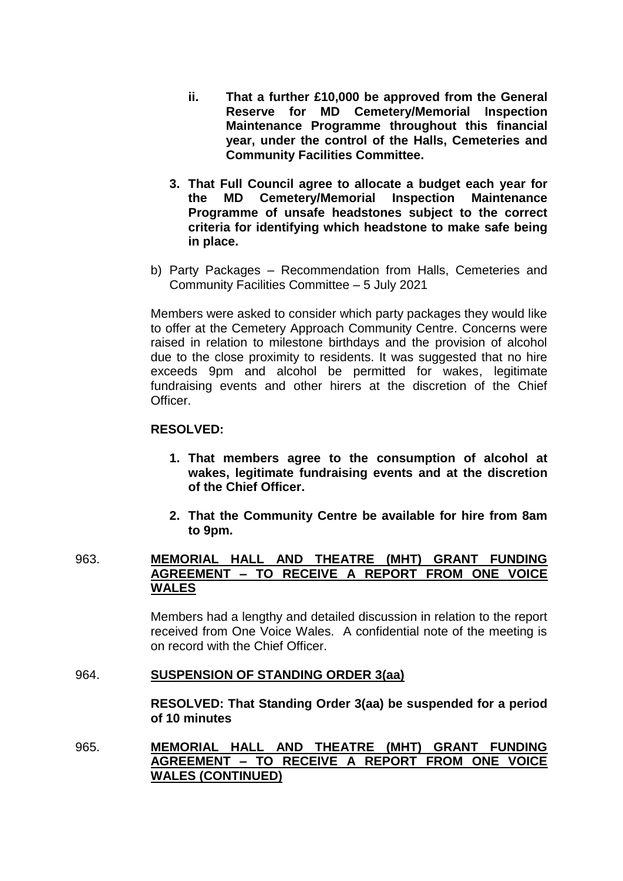- **ii. That a further £10,000 be approved from the General Reserve for MD Cemetery/Memorial Inspection Maintenance Programme throughout this financial year, under the control of the Halls, Cemeteries and Community Facilities Committee.**
- **3. That Full Council agree to allocate a budget each year for the MD Cemetery/Memorial Inspection Maintenance Programme of unsafe headstones subject to the correct criteria for identifying which headstone to make safe being in place.**
- b) Party Packages Recommendation from Halls, Cemeteries and Community Facilities Committee – 5 July 2021

Members were asked to consider which party packages they would like to offer at the Cemetery Approach Community Centre. Concerns were raised in relation to milestone birthdays and the provision of alcohol due to the close proximity to residents. It was suggested that no hire exceeds 9pm and alcohol be permitted for wakes, legitimate fundraising events and other hirers at the discretion of the Chief **Officer** 

## **RESOLVED:**

- **1. That members agree to the consumption of alcohol at wakes, legitimate fundraising events and at the discretion of the Chief Officer.**
- **2. That the Community Centre be available for hire from 8am to 9pm.**

# 963. **MEMORIAL HALL AND THEATRE (MHT) GRANT FUNDING AGREEMENT – TO RECEIVE A REPORT FROM ONE VOICE WALES**

Members had a lengthy and detailed discussion in relation to the report received from One Voice Wales. A confidential note of the meeting is on record with the Chief Officer.

### 964. **SUSPENSION OF STANDING ORDER 3(aa)**

**RESOLVED: That Standing Order 3(aa) be suspended for a period of 10 minutes**

965. **MEMORIAL HALL AND THEATRE (MHT) GRANT FUNDING AGREEMENT – TO RECEIVE A REPORT FROM ONE VOICE WALES (CONTINUED)**